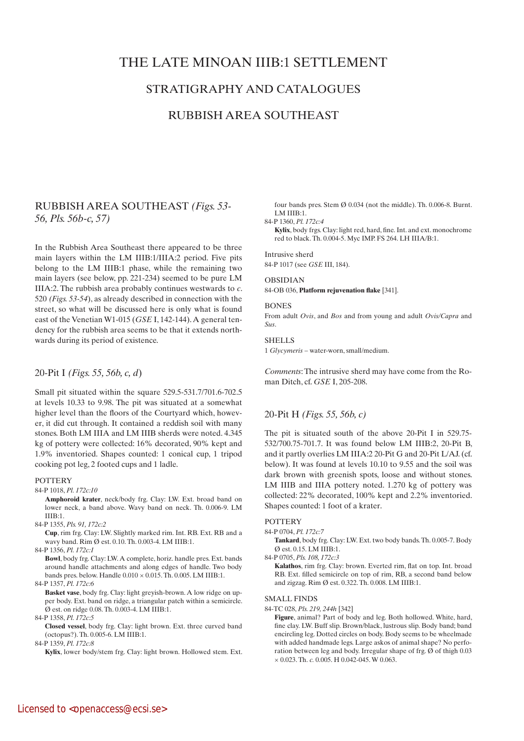# THE LATE MINOAN IIIB:1 SETTLEMENT

## STRATIGRAPHY AND CATALOGUES

## RUBBISH AREA SOUTHEAST

## RUBBISH AREA SOUTHEAST *(Figs. 53- 56, Pls. 56b-c, 57)*

In the Rubbish Area Southeast there appeared to be three main layers within the LM IIIB:1/IIIA:2 period. Five pits belong to the LM IIIB:1 phase, while the remaining two main layers (see below, pp. 221-234) seemed to be pure LM IIIA:2. The rubbish area probably continues westwards to *c*. 520 *(Figs. 53-54*), as already described in connection with the street, so what will be discussed here is only what is found east of the Venetian W1-015 (*GSE* I, 142-144). A general tendency for the rubbish area seems to be that it extends northwards during its period of existence.

## 20-Pit I *(Figs. 55, 56b, c, d*)

Small pit situated within the square 529.5-531.7/701.6-702.5 at levels 10.33 to 9.98. The pit was situated at a somewhat higher level than the floors of the Courtyard which, however, it did cut through. It contained a reddish soil with many stones. Both LM IIIA and LM IIIB sherds were noted. 4.345 kg of pottery were collected: 16% decorated, 90% kept and 1.9% inventoried. Shapes counted: 1 conical cup, 1 tripod cooking pot leg, 2 footed cups and 1 ladle.

#### **POTTERY**

84-P 1018, *Pl. 172c:10*

 **Amphoroid krater**, neck/body frg. Clay: LW. Ext. broad band on lower neck, a band above. Wavy band on neck. Th. 0.006-9. LM IIIB:1.

84-P 1355, *Pls. 91, 172c:2*

 **Cup**, rim frg. Clay: LW. Slightly marked rim. Int. RB. Ext. RB and a wavy band. Rim Ø est. 0.10. Th. 0.003-4. LM IIIB:1.

84-P 1356, *Pl. 172c:1*

 **Bowl**, body frg. Clay: LW. A complete, horiz. handle pres. Ext. bands around handle attachments and along edges of handle. Two body bands pres. below. Handle 0.010 × 0.015. Th. 0.005. LM IIIB:1.

84-P 1357, *Pl. 172c:6*

 **Basket vase**, body frg. Clay: light greyish-brown. A low ridge on upper body. Ext. band on ridge, a triangular patch within a semicircle. Ø est. on ridge 0.08. Th. 0.003-4. LM IIIB:1.

84-P 1358, *Pl. 172c:5*

 **Closed vessel**, body frg. Clay: light brown. Ext. three curved band (octopus?). Th. 0.005-6. LM IIIB:1.

84-P 1359, *Pl. 172c:8*

 **Kylix**, lower body/stem frg. Clay: light brown. Hollowed stem. Ext.

four bands pres. Stem Ø 0.034 (not the middle). Th. 0.006-8. Burnt. LM IIIB:1.

#### 84-P 1360, *Pl. 172c:4*

**Kylix**, body frgs. Clay: light red, hard, fine. Int. and ext. monochrome red to black. Th. 0.004-5. Myc IMP. FS 264. LH IIIA/B:1.

Intrusive sherd 84-P 1017 (see *GSE* III, 184).

#### OBSIDIAN

84-OB 036, **Platform rejuvenation flake** [341].

### **BONES**

From adult *Ovis*, and *Bos* and from young and adult *Ovis/Capra* and *Sus*.

## **SHELLS**

1 *Glycymeris* – water-worn, small/medium.

*Comments*: The intrusive sherd may have come from the Roman Ditch, cf. *GSE* I, 205-208.

## 20-Pit H *(Figs. 55, 56b, c)*

The pit is situated south of the above 20-Pit I in 529.75- 532/700.75-701.7. It was found below LM IIIB:2, 20-Pit B, and it partly overlies LM IIIA:2 20-Pit G and 20-Pit L/AJ. (cf. below). It was found at levels 10.10 to 9.55 and the soil was dark brown with greenish spots, loose and without stones. LM IIIB and IIIA pottery noted. 1.270 kg of pottery was collected: 22% decorated, 100% kept and 2.2% inventoried. Shapes counted: 1 foot of a krater.

## **POTTERY**

84-P 0704, *Pl. 172c:7*

 **Tankard**, body frg. Clay: LW. Ext. two body bands. Th. 0.005-7. Body Ø est. 0.15. LM IIIB:1.

84-P 0705, *Pls. 108, 172c:3*

 **Kalathos**, rim frg. Clay: brown. Everted rim, flat on top. Int. broad RB. Ext. filled semicircle on top of rim, RB, a second band below and zigzag. Rim Ø est. 0.322. Th. 0.008. LM IIIB:1.

#### SMALL FINDS

84-TC 028, *Pls. 219, 244h* [342]

 **Figure**, animal? Part of body and leg. Both hollowed. White, hard, fine clay. LW. Buff slip. Brown/black, lustrous slip. Body band; band encircling leg. Dotted circles on body. Body seems to be wheelmade with added handmade legs. Large askos of animal shape? No perforation between leg and body. Irregular shape of frg. Ø of thigh 0.03 × 0.023. Th. *c.* 0.005. H 0.042-045. W 0.063.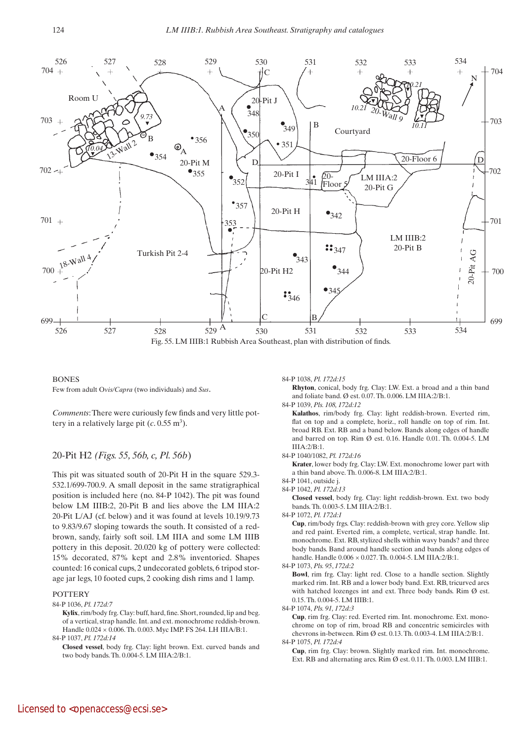

## **BONES** Few from adult O*vis/Capra* (two individuals) and *Sus*.

*Comments*: There were curiously few finds and very little pottery in a relatively large pit (*c*. 0.55 m3).

## 20-Pit H2 *(Figs. 55, 56b, c, Pl. 56b*)

This pit was situated south of 20-Pit H in the square 529.3- 532.1/699-700.9. A small deposit in the same stratigraphical position is included here (no. 84-P 1042). The pit was found below LM IIIB:2, 20-Pit B and lies above the LM IIIA:2 20-Pit L/AJ (cf. below) and it was found at levels 10.19/9.73 to 9.83/9.67 sloping towards the south. It consisted of a redbrown, sandy, fairly soft soil. LM IIIA and some LM IIIB pottery in this deposit. 20.020 kg of pottery were collected: 15% decorated, 87% kept and 2.8% inventoried. Shapes counted: 16 conical cups, 2 undecorated goblets, 6 tripod storage jar legs, 10 footed cups, 2 cooking dish rims and 1 lamp.

## **POTTERY**

84-P 1036, *Pl. 172d:7*

**Kylix**, rim/body frg. Clay: buff, hard, fine. Short, rounded, lip and beg. of a vertical, strap handle. Int. and ext. monochrome reddish-brown. Handle 0.024 × 0.006. Th. 0.003. Myc IMP. FS 264. LH IIIA/B:1. 84-P 1037, *Pl. 172d:14*

 **Closed vessel**, body frg. Clay: light brown. Ext. curved bands and two body bands. Th. 0.004-5. LM IIIA:2/B:1.

84-P 1038, *Pl. 172d:15*

 **Rhyton**, conical, body frg. Clay: LW. Ext. a broad and a thin band and foliate band. Ø est. 0.07. Th. 0.006. LM IIIA:2/B:1.

84-P 1039, *Pls. 108, 172d:12*

 **Kalathos**, rim/body frg. Clay: light reddish-brown. Everted rim, flat on top and a complete, horiz., roll handle on top of rim. Int. broad RB. Ext. RB and a band below. Bands along edges of handle and barred on top. Rim Ø est. 0.16. Handle 0.01. Th. 0.004-5. LM IIIA:2/B:1.

84-P 1040/1082, *Pl. 172d:16*

 **Krater**, lower body frg. Clay: LW. Ext. monochrome lower part with a thin band above. Th. 0.006-8. LM IIIA:2/B:1.

84-P 1041, outside j.

84-P 1042, *Pl. 172d:13*

 **Closed vessel**, body frg. Clay: light reddish-brown. Ext. two body bands. Th. 0.003-5. LM IIIA:2/B:1.

84-P 1072, *Pl. 172d:1*

 **Cup**, rim/body frgs. Clay: reddish-brown with grey core. Yellow slip and red paint. Everted rim, a complete, vertical, strap handle. Int. monochrome. Ext. RB, stylized shells within wavy bands? and three body bands. Band around handle section and bands along edges of handle. Handle 0.006 × 0.027. Th. 0.004-5. LM IIIA:2/B:1.

84-P 1073, *Pls. 95*, *172d:2*

 **Bowl**, rim frg. Clay: light red. Close to a handle section. Slightly marked rim. Int. RB and a lower body band. Ext. RB, tricurved arcs with hatched lozenges int and ext. Three body bands. Rim Ø est. 0.15. Th. 0.004-5. LM IIIB:1.

84-P 1074, *Pls. 91, 172d:3*

 **Cup**, rim frg. Clay: red. Everted rim. Int. monochrome. Ext. monochrome on top of rim, broad RB and concentric semicircles with chevrons in-between. Rim Ø est. 0.13. Th. 0.003-4. LM IIIA:2/B:1. 84-P 1075, *Pl. 172d:4*

 **Cup**, rim frg. Clay: brown. Slightly marked rim. Int. monochrome. Ext. RB and alternating arcs. Rim Ø est. 0.11. Th. 0.003. LM IIIB:1.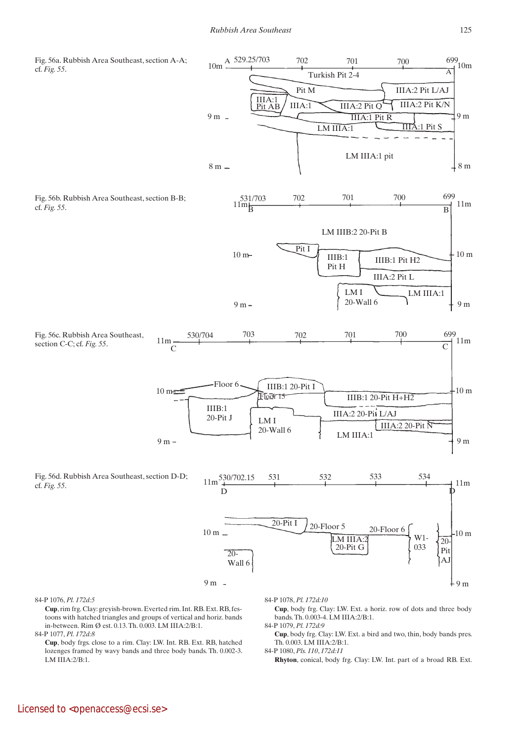

 **Cup**, rim frg. Clay: greyish-brown. Everted rim. Int. RB. Ext. RB, festoons with hatched triangles and groups of vertical and horiz. bands in-between. Rim Ø est. 0.13. Th. 0.003. LM IIIA:2/B:1. 84-P 1077, *Pl. 172d:8*

 **Cup**, body frgs. close to a rim. Clay: LW. Int. RB. Ext. RB, hatched lozenges framed by wavy bands and three body bands. Th. 0.002-3. LM IIIA:2/B:1.

 **Cup**, body frg. Clay: LW. Ext. a horiz. row of dots and three body bands. Th. 0.003-4. LM IIIA:2/B:1.

84-P 1079, *Pl. 172d:9*

 **Cup**, body frg. Clay: LW. Ext. a bird and two, thin, body bands pres. Th. 0.003. LM IIIA:2/B:1.

84-P 1080, *Pls. 110*, *172d:11*  **Rhyton**, conical, body frg. Clay: LW. Int. part of a broad RB. Ext.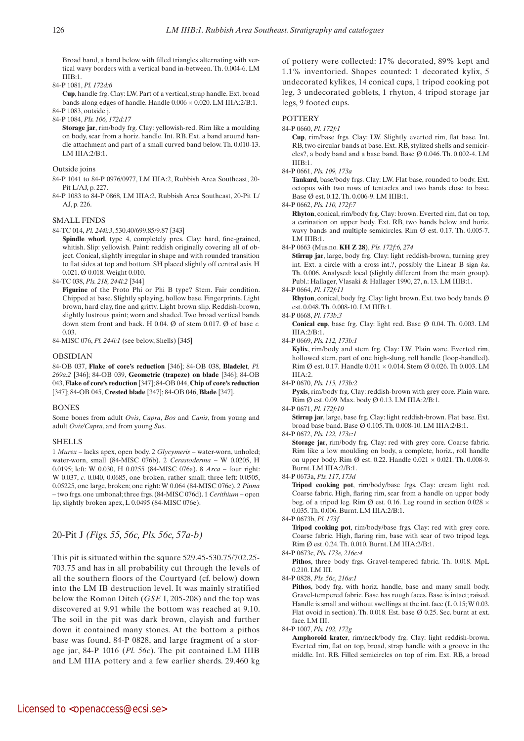Broad band, a band below with filled triangles alternating with vertical wavy borders with a vertical band in-between. Th. 0.004-6. LM  $I I I R·1.$ 

84-P 1081, *Pl. 172d:6*

 **Cup**, handle frg. Clay: LW. Part of a vertical, strap handle. Ext. broad bands along edges of handle. Handle 0.006 × 0.020. LM IIIA:2/B:1.

84-P 1083, outside j. 84-P 1084, *Pls. 106, 172d:17*

 **Storage jar**, rim/body frg. Clay: yellowish-red. Rim like a moulding on body, scar from a horiz. handle. Int. RB. Ext. a band around handle attachment and part of a small curved band below. Th. 0.010-13. LM IIIA:2/B:1.

Outside joins

84-P 1041 to 84-P 0976/0977, LM IIIA:2, Rubbish Area Southeast, 20- Pit L/AJ, p. 227.

84-P 1083 to 84-P 0868, LM IIIA:2, Rubbish Area Southeast, 20-Pit L/ AJ, p. 226.

SMALL FINDS

84-TC 014, *Pl. 244i:3*, 530.40/699.85/9.87 [343]

Spindle whorl, type 4, completely pres. Clay: hard, fine-grained, whitish. Slip: yellowish. Paint: reddish originally covering all of object. Conical, slightly irregular in shape and with rounded transition to flat sides at top and bottom. SH placed slightly off central axis. H 0.021. Ø 0.018. Weight 0.010.

84-TC 038, *Pls. 218, 244i:2* [344]

 **Figurine** of the Proto Phi or Phi B type? Stem. Fair condition. Chipped at base. Slightly splaying, hollow base. Fingerprints. Light brown, hard clay, fine and gritty. Light brown slip. Reddish-brown, slightly lustrous paint; worn and shaded. Two broad vertical bands down stem front and back. H 0.04. Ø of stem 0.017. Ø of base *c.*  0.03.

84-MISC 076, *Pl. 244i:1* (see below, Shells) [345]

#### OBSIDIAN

84-OB 037, **Flake of core's reduction** [346]; 84-OB 038, **Bladelet**, *Pl. 269a:2* [346]; 84-OB 039, **Geometric (trapeze) on blade** [346]; 84-OB 043, **Flake of core's reduction** [347]; 84-OB 044, **Chip of core's reduction** [347]; 84-OB 045, **Crested blade** [347]; 84-OB 046, **Blade** [347].

## BONES

Some bones from adult *Ovis*, *Capra*, *Bos* and *Canis*, from young and adult *Ovis/Capra*, and from young *Sus*.

#### **SHELLS**

1 *Murex* – lacks apex, open body. 2 *Glycymeris* – water-worn, unholed; water-worn, small (84-MISC 076b). 2 *Cerastoderma* – W 0.0205, H 0.0195; left: W 0.030, H 0.0255 (84-MISC 076a). 8 *Arca* – four right: W 0.037, *c*. 0.040, 0.0685, one broken, rather small; three left: 0.0505, 0.05225, one large, broken; one right: W 0.064 (84-MISC 076c). 2 *Pinna* – two frgs. one umbonal; three frgs. (84-MISC 076d). 1 *Cerithium* – open lip, slightly broken apex, L 0.0495 (84-MISC 076e).

## 20-Pit J *(Figs. 55, 56c, Pls. 56c, 57a-b)*

This pit is situated within the square 529.45-530.75/702.25- 703.75 and has in all probability cut through the levels of all the southern floors of the Courtyard (cf. below) down into the LM IB destruction level. It was mainly stratified below the Roman Ditch (*GSE* I, 205-208) and the top was discovered at 9.91 while the bottom was reached at 9.10. The soil in the pit was dark brown, clayish and further down it contained many stones. At the bottom a pithos base was found, 84-P 0828, and large fragment of a storage jar, 84-P 1016 (*Pl. 56c*). The pit contained LM IIIB and LM IIIA pottery and a few earlier sherds. 29.460 kg

of pottery were collected: 17% decorated, 89% kept and 1.1% inventoried. Shapes counted: 1 decorated kylix, 5 undecorated kylikes, 14 conical cups, 1 tripod cooking pot leg, 3 undecorated goblets, 1 rhyton, 4 tripod storage jar legs, 9 footed cups.

#### **POTTERY**

#### 84-P 0660, *Pl. 172f:1*

 **Cup**, rim/base frgs. Clay: LW. Slightly everted rim, flat base. Int. RB, two circular bands at base. Ext. RB, stylized shells and semicircles?, a body band and a base band. Base Ø 0.046. Th. 0.002-4. LM IIIB:1.

84-P 0661, *Pls. 109, 173a*

Tankard, base/body frgs. Clay: LW. Flat base, rounded to body. Ext. octopus with two rows of tentacles and two bands close to base. Base Ø est. 0.12. Th. 0.006-9. LM IIIB:1.

84-P 0662, *Pls. 110, 172f:7*

 **Rhyton**, conical, rim/body frg. Clay: brown. Everted rim, flat on top, a carination on upper body. Ext. RB, two bands below and horiz. wavy bands and multiple semicircles. Rim Ø est. 0.17. Th. 0.005-7. LM IIIB:1.

84-P 0663 (Mus.no. **KH Z 28**), *Pls. 172f:6, 274*

 **Stirrup jar**, large, body frg. Clay: light reddish-brown, turning grey int. Ext. a circle with a cross int.?, possibly the Linear B sign *ka*. Th. 0.006. Analysed: local (slightly different from the main group). Publ.: Hallager, Vlasaki & Hallager 1990, 27, n. 13. LM IIIB:1.

84-P 0664, *Pl. 172f:11*

 **Rhyton**, conical, body frg. Clay: light brown. Ext. two body bands. Ø est. 0.048. Th. 0.008-10. LM IIIB:1.

84-P 0668, *Pl. 173b:3*

 **Conical cup**, base frg. Clay: light red. Base Ø 0.04. Th. 0.003. LM IIIA:2/B:1.

84-P 0669, *Pls. 112, 173b:1*

 **Kylix**, rim/body and stem frg. Clay: LW. Plain ware. Everted rim, hollowed stem, part of one high-slung, roll handle (loop-handled). Rim Ø est. 0.17. Handle 0.011 × 0.014. Stem Ø 0.026. Th 0.003. LM IIIA:2.

84-P 0670, *Pls. 115, 173b:2*

Pyxis, rim/body frg. Clay: reddish-brown with grey core. Plain ware. Rim Ø est. 0.09. Max. body Ø 0.13. LM IIIA:2/B:1.

#### 84-P 0671, *Pl. 172f:10*

 **Stirrup jar**, large, base frg. Clay: light reddish-brown. Flat base. Ext. broad base band. Base Ø 0.105. Th. 0.008-10. LM IIIA:2/B:1.

#### 84-P 0672, *Pls. 122, 173c:1*

**Storage** jar, rim/body frg. Clay: red with grey core. Coarse fabric. Rim like a low moulding on body, a complete, horiz., roll handle on upper body. Rim Ø est. 0.22. Handle  $0.021 \times 0.021$ . Th. 0.008-9. Burnt. LM IIIA:2/B:1.

84-P 0673a, *Pls. 117, 173d*

 **Tripod cooking pot**, rim/body/base frgs. Clay: cream light red. Coarse fabric. High, flaring rim, scar from a handle on upper body beg. of a tripod leg. Rim  $\varnothing$  est. 0.16. Leg round in section 0.028  $\times$ 0.035. Th. 0.006. Burnt. LM IIIA:2/B:1.

84-P 0673b, *Pl. 173f*

 **Tripod cooking pot**, rim/body/base frgs. Clay: red with grey core. Coarse fabric. High, flaring rim, base with scar of two tripod legs. Rim Ø est. 0.24. Th. 0.010. Burnt. LM IIIA:2/B:1.

84-P 0673c, *Pls. 173e, 216c:4*

 **Pithos**, three body frgs. Gravel-tempered fabric. Th. 0.018. MpL 0.210. LM III.

84-P 0828, *Pls. 56c, 216a:1*

Pithos, body frg. with horiz. handle, base and many small body. Gravel-tempered fabric. Base has rough faces. Base is intact; raised. Handle is small and without swellings at the int. face (L 0.15; W 0.03. Flat ovoid in section). Th. 0.018. Est. base Ø 0.25. Sec. burnt at ext. face. LM III.

84-P 1007, *Pls. 102, 172g*

 **Amphoroid krater**, rim/neck/body frg. Clay: light reddish-brown. Everted rim, flat on top, broad, strap handle with a groove in the middle. Int. RB. Filled semicircles on top of rim. Ext. RB, a broad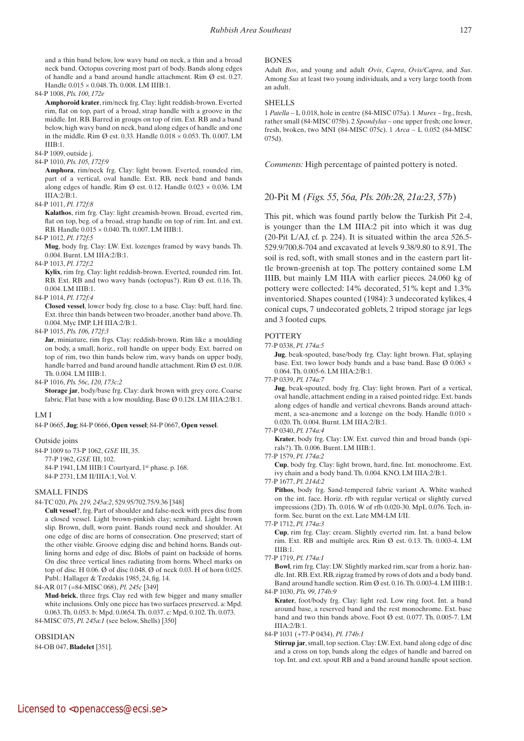and a thin band below, low wavy band on neck, a thin and a broad neck band. Octopus covering most part of body. Bands along edges of handle and a band around handle attachment. Rim Ø est. 0.27. Handle 0.015 × 0.048. Th. 0.008. LM IIIB:1.

84-P 1008, *Pls. 100, 172e*

 **Amphoroid krater**, rim/neck frg. Clay: light reddish-brown. Everted rim, flat on top, part of a broad, strap handle with a groove in the middle. Int. RB. Barred in groups on top of rim. Ext. RB and a band below, high wavy band on neck, band along edges of handle and one in the middle. Rim  $\varnothing$  est. 0.33. Handle 0.018  $\times$  0.053. Th. 0.007. LM IIIB:1.

84-P 1009, outside j.

84-P 1010, *Pls. 105, 172f:9*

 **Amphora**, rim/neck frg. Clay: light brown. Everted, rounded rim, part of a vertical, oval handle. Ext. RB, neck band and bands along edges of handle. Rim Ø est. 0.12. Handle  $0.023 \times 0.036$ . LM IIIA:2/B:1.

#### 84-P 1011, *Pl. 172f:8*

 **Kalathos**, rim frg. Clay: light creamish-brown. Broad, everted rim, flat on top, beg. of a broad, strap handle on top of rim. Int. and ext. RB. Handle 0.015 × 0.040. Th. 0.007. LM IIIB:1.

84-P 1012, *Pl. 172f:5*

 **Mug**, body frg. Clay: LW. Ext. lozenges framed by wavy bands. Th. 0.004. Burnt. LM IIIA:2/B:1.

84-P 1013, *Pl. 172f:2*

 **Kylix**, rim frg. Clay: light reddish-brown. Everted, rounded rim. Int. RB. Ext. RB and two wavy bands (octopus?). Rim Ø est. 0.16. Th. 0.004. LM IIIB:1.

84-P 1014, *Pl. 172f:4*

**Closed vessel**, lower body frg. close to a base. Clay: buff, hard. fine. Ext. three thin bands between two broader, another band above. Th. 0.004. Myc IMP. LH IIIA:2/B:1.

#### 84-P 1015, *Pls. 106, 172f:3*

 **Jar**, miniature, rim frgs. Clay: reddish-brown. Rim like a moulding on body, a small, horiz., roll handle on upper body. Ext. barred on top of rim, two thin bands below rim, wavy bands on upper body, handle barred and band around handle attachment. Rim Ø est. 0.08. Th. 0.004. LM IIIB:1.

84-P 1016, *Pls. 56c, 120, 173c:2*

**Storage** jar, body/base frg. Clay: dark brown with grey core. Coarse fabric. Flat base with a low moulding. Base Ø 0.128. LM IIIA:2/B:1.

## LM I

## 84-P 0665, **Jug**; 84-P 0666, **Open vessel**; 84-P 0667, **Open vessel**.

## Outside joins

84-P 1009 to 73-P 1062, *GSE* III, 35. 77-P 1962, *GSE* III, 102. 84-P 1941, LM IIIB:1 Courtyard, 1st phase. p. 168. 84-P 2731, LM II/IIIA:1, Vol. V.

## SMALL FINDS

84-TC 020, *Pls. 219, 245a:2*, 529.95/702.75/9.36 [348]

 **Cult vessel**?, frg. Part of shoulder and false-neck with pres disc from a closed vessel. Light brown-pinkish clay; semihard. Light brown slip. Brown, dull, worn paint. Bands round neck and shoulder. At one edge of disc are horns of consecration. One preserved; start of the other visible. Groove edging disc and behind horns. Bands outlining horns and edge of disc. Blobs of paint on backside of horns. On disc three vertical lines radiating from horns. Wheel marks on top of disc. H 0.06. Ø of disc 0.048. Ø of neck 0.03. H of horn 0.025. Publ.: Hallager & Tzedakis 1985, 24, fig. 14.

84-AR 017 (=84-MISC 068), *Pl. 245c* [349]

 **Mud**-**brick**, three frgs. Clay red with few bigger and many smaller white inclusions. Only one piece has two surfaces preserved. a: Mpd. 0.063. Th. 0.053. b: Mpd. 0.0654. Th. 0.037. c: Mpd. 0.102. Th. 0.073. 84-MISC 075, *Pl. 245a:1* (see below, Shells) [350]

OBSIDIAN 84-OB 047, **Bladelet** [351].

#### **BONES**

Adult *Bos*, and young and adult *Ovis*, *Capra*, *Ovis/Capra*, and *Sus*. Among *Sus* at least two young individuals, and a very large tooth from an adult.

#### **SHELLS**

1 *Patella* – L 0.018, hole in centre (84-MISC 075a). 1 *Murex* – frg., fresh, rather small (84-MISC 075b). 2 *Spondylus* – one upper fresh; one lower, fresh, broken, two MNI (84-MISC 075c). 1 *Arca* – L 0.052 (84-MISC 075d).

*Comments:* High percentage of painted pottery is noted.

## 20-Pit M *(Figs. 55, 56a, Pls. 20b:28, 21a:23, 57b*)

This pit, which was found partly below the Turkish Pit 2-4, is younger than the LM IIIA:2 pit into which it was dug (20-Pit L/AJ, cf. p. 224). It is situated within the area 526.5- 529.9/700.8-704 and excavated at levels 9.38/9.80 to 8.91. The soil is red, soft, with small stones and in the eastern part little brown-greenish at top. The pottery contained some LM IIIB, but mainly LM IIIA with earlier pieces. 24.060 kg of pottery were collected: 14% decorated, 51% kept and 1.3% inventoried. Shapes counted (1984): 3 undecorated kylikes, 4 conical cups, 7 undecorated goblets, 2 tripod storage jar legs and 3 footed cups.

## **POTTERY**

77-P 0338, *Pl. 174a:5*

 **Jug**, beak-spouted, base/body frg. Clay: light brown. Flat, splaying base. Ext. two lower body bands and a base band. Base Ø 0.063 × 0.064. Th. 0.005-6. LM IIIA:2/B:1.

77-P 0339, *Pl. 174a:7*

 **Jug**, beak-spouted, body frg. Clay: light brown. Part of a vertical, oval handle, attachment ending in a raised pointed ridge. Ext. bands along edges of handle and vertical chevrons. Bands around attachment, a sea-anemone and a lozenge on the body. Handle 0.010  $\times$ 0.020. Th. 0.004. Burnt. LM IIIA:2/B:1.

77-P 0340, *Pl. 174a:4*

 **Krater**, body frg. Clay: LW. Ext. curved thin and broad bands (spirals?). Th. 0.006. Burnt. LM IIIB:1.

77-P 1579, *Pl. 174a:2*

 **Cup**, body frg. Clay: light brown, hard, fine. Int. monochrome. Ext. ivy chain and a body band. Th. 0.004. KNO. LM IIIA:2/B:1.

77-P 1677, *Pl. 214d:2*

 **Pithos**, body frg. Sand-tempered fabric variant A. White washed on the int. face. Horiz. rfb with regular vertical or slightly curved impressions (2D). Th. 0.016. W of rfb 0.020-30. MpL 0.076. Tech. inform. Sec. burnt on the ext. Late MM-LM I/II.

77-P 1712, *Pl. 174a:3*

 **Cup**, rim frg. Clay: cream. Slightly everted rim. Int. a band below rim. Ext. RB and multiple arcs. Rim Ø est. 0.13. Th. 0.003-4. LM  $I I I R·1.$ 

77-P 1719, *Pl. 174a:1*

 **Bowl**, rim frg. Clay: LW. Slightly marked rim, scar from a horiz. handle. Int. RB. Ext. RB, zigzag framed by rows of dots and a body band. Band around handle section. Rim Ø est. 0.16. Th. 0.003-4. LM IIIB:1. 84-P 1030, *Pls. 99, 174b:9*

 **Krater**, foot/body frg. Clay: light red. Low ring foot. Int. a band around base, a reserved band and the rest monochrome. Ext. base band and two thin bands above. Foot Ø est. 0.077. Th. 0.005-7. LM  $IIIA:2/B:1$ .

84-P 1031 (+77-P 0434), *Pl. 174b:1*

**Stirrup jar**, small, top section. Clay: LW. Ext. band along edge of disc and a cross on top, bands along the edges of handle and barred on top. Int. and ext. spout RB and a band around handle spout section.